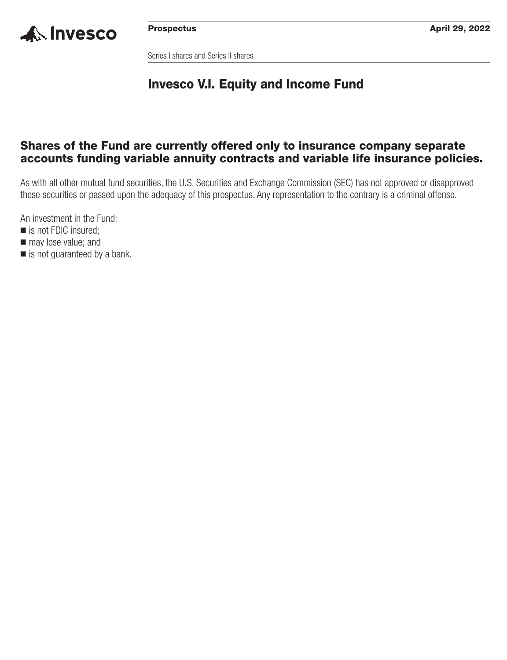

Series I shares and Series II shares

## **Invesco V.I. Equity and Income Fund**

### **Shares of the Fund are currently offered only to insurance company separate accounts funding variable annuity contracts and variable life insurance policies.**

As with all other mutual fund securities, the U.S. Securities and Exchange Commission (SEC) has not approved or disapproved these securities or passed upon the adequacy of this prospectus. Any representation to the contrary is a criminal offense.

An investment in the Fund:

- is not FDIC insured;
- $\blacksquare$  may lose value; and
- is not guaranteed by a bank.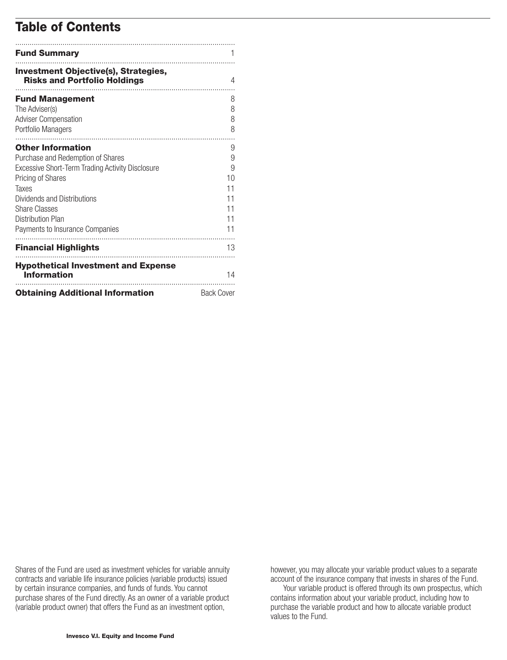## **Table of Contents**

| <b>Fund Summary</b>                                                                                                                                                                                                                                                   |                                                 |
|-----------------------------------------------------------------------------------------------------------------------------------------------------------------------------------------------------------------------------------------------------------------------|-------------------------------------------------|
| <b>Investment Objective(s), Strategies,</b><br><b>Risks and Portfolio Holdings</b>                                                                                                                                                                                    | 4                                               |
| <b>Fund Management</b><br>The Adviser(s)<br><b>Adviser Compensation</b><br>Portfolio Managers                                                                                                                                                                         | 8<br>8<br>8<br>8                                |
| <b>Other Information</b><br>Purchase and Redemption of Shares<br>Excessive Short-Term Trading Activity Disclosure<br>Pricing of Shares<br>Taxes<br>Dividends and Distributions<br><b>Share Classes</b><br><b>Distribution Plan</b><br>Payments to Insurance Companies | 9<br>9<br>9<br>10<br>11<br>11<br>11<br>11<br>11 |
| <b>Financial Highlights</b><br><b>Hypothetical Investment and Expense</b><br><b>Information</b>                                                                                                                                                                       | 13<br>14                                        |
| <b>Obtaining Additional Information</b>                                                                                                                                                                                                                               | <b>Back Cover</b>                               |

Shares of the Fund are used as investment vehicles for variable annuity contracts and variable life insurance policies (variable products) issued by certain insurance companies, and funds of funds. You cannot purchase shares of the Fund directly. As an owner of a variable product (variable product owner) that offers the Fund as an investment option,

however, you may allocate your variable product values to a separate account of the insurance company that invests in shares of the Fund.

Your variable product is offered through its own prospectus, which contains information about your variable product, including how to purchase the variable product and how to allocate variable product values to the Fund.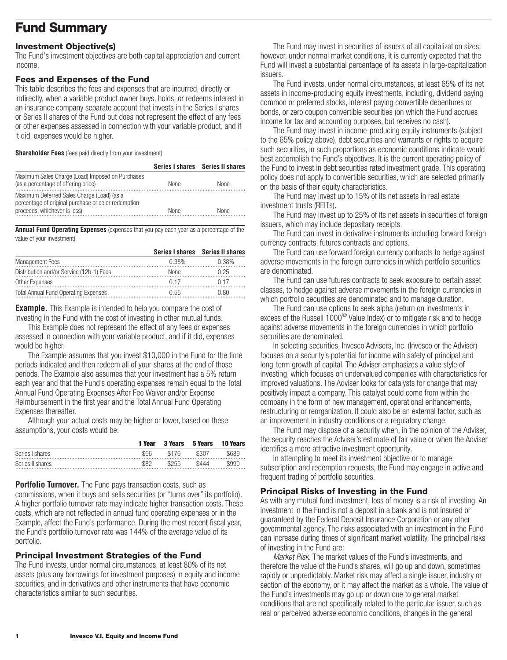# <span id="page-2-0"></span>**Fund Summary**

### **Investment Objective(s)**

The Fund's investment objectives are both capital appreciation and current income.

### **Fees and Expenses of the Fund**

This table describes the fees and expenses that are incurred, directly or indirectly, when a variable product owner buys, holds, or redeems interest in an insurance company separate account that invests in the Series I shares or Series II shares of the Fund but does not represent the effect of any fees or other expenses assessed in connection with your variable product, and if it did, expenses would be higher.

**Shareholder Fees** (fees paid directly from your investment)

|                                                                                                                                   |             | Series I shares Series II shares |
|-----------------------------------------------------------------------------------------------------------------------------------|-------------|----------------------------------|
| Maximum Sales Charge (Load) Imposed on Purchases<br>(as a percentage of offering price)                                           | <b>None</b> | <b>None</b>                      |
| Maximum Deferred Sales Charge (Load) (as a<br>percentage of original purchase price or redemption<br>proceeds, whichever is less) | None        | None                             |

**Annual Fund Operating Expenses** (expenses that you pay each year as a percentage of the value of your investment)

|                                             |       | Series I shares Series II shares |
|---------------------------------------------|-------|----------------------------------|
| <b>Management Fees</b>                      | 0.38% | 0.38%                            |
| Distribution and/or Service (12b-1) Fees    | None  | ገ 25                             |
| Other Expenses                              | () 17 |                                  |
| <b>Total Annual Fund Operating Expenses</b> | (155) |                                  |

**Example.** This Example is intended to help you compare the cost of investing in the Fund with the cost of investing in other mutual funds.

This Example does not represent the effect of any fees or expenses assessed in connection with your variable product, and if it did, expenses would be higher.

The Example assumes that you invest \$10,000 in the Fund for the time periods indicated and then redeem all of your shares at the end of those periods. The Example also assumes that your investment has a 5% return each year and that the Fund's operating expenses remain equal to the Total Annual Fund Operating Expenses After Fee Waiver and/or Expense Reimbursement in the first year and the Total Annual Fund Operating Expenses thereafter.

Although your actual costs may be higher or lower, based on these assumptions, your costs would be:

|                  | 1 Year | <b>3 Years</b> | 5 Years | <b>10 Years</b> |
|------------------|--------|----------------|---------|-----------------|
| Series I shares  | \$56   | \$176          | \$307   | \$689           |
| Series II shares | ሮደባ    | \$255          | \$444   | \$990<br>       |

**Portfolio Turnover.** The Fund pays transaction costs, such as

commissions, when it buys and sells securities (or "turns over" its portfolio). A higher portfolio turnover rate may indicate higher transaction costs. These costs, which are not reflected in annual fund operating expenses or in the Example, affect the Fund's performance. During the most recent fiscal year, the Fund's portfolio turnover rate was 144% of the average value of its portfolio.

### **Principal Investment Strategies of the Fund**

The Fund invests, under normal circumstances, at least 80% of its net assets (plus any borrowings for investment purposes) in equity and income securities, and in derivatives and other instruments that have economic characteristics similar to such securities.

The Fund may invest in securities of issuers of all capitalization sizes; however, under normal market conditions, it is currently expected that the Fund will invest a substantial percentage of its assets in large-capitalization issuers.

The Fund invests, under normal circumstances, at least 65% of its net assets in income-producing equity investments, including, dividend paying common or preferred stocks, interest paying convertible debentures or bonds, or zero coupon convertible securities (on which the Fund accrues income for tax and accounting purposes, but receives no cash).

The Fund may invest in income-producing equity instruments (subject to the 65% policy above), debt securities and warrants or rights to acquire such securities, in such proportions as economic conditions indicate would best accomplish the Fund's objectives. It is the current operating policy of the Fund to invest in debt securities rated investment grade. This operating policy does not apply to convertible securities, which are selected primarily on the basis of their equity characteristics.

The Fund may invest up to 15% of its net assets in real estate investment trusts (REITs).

The Fund may invest up to 25% of its net assets in securities of foreign issuers, which may include depositary receipts.

The Fund can invest in derivative instruments including forward foreign currency contracts, futures contracts and options.

The Fund can use forward foreign currency contracts to hedge against adverse movements in the foreign currencies in which portfolio securities are denominated.

The Fund can use futures contracts to seek exposure to certain asset classes, to hedge against adverse movements in the foreign currencies in which portfolio securities are denominated and to manage duration.

The Fund can use options to seek alpha (return on investments in excess of the Russell 1000® Value Index) or to mitigate risk and to hedge against adverse movements in the foreign currencies in which portfolio securities are denominated.

In selecting securities, Invesco Advisers, Inc. (Invesco or the Adviser) focuses on a security's potential for income with safety of principal and long-term growth of capital. The Adviser emphasizes a value style of investing, which focuses on undervalued companies with characteristics for improved valuations. The Adviser looks for catalysts for change that may positively impact a company. This catalyst could come from within the company in the form of new management, operational enhancements, restructuring or reorganization. It could also be an external factor, such as an improvement in industry conditions or a regulatory change.

The Fund may dispose of a security when, in the opinion of the Adviser, the security reaches the Adviser's estimate of fair value or when the Adviser identifies a more attractive investment opportunity.

In attempting to meet its investment objective or to manage subscription and redemption requests, the Fund may engage in active and frequent trading of portfolio securities.

### **Principal Risks of Investing in the Fund**

As with any mutual fund investment, loss of money is a risk of investing. An investment in the Fund is not a deposit in a bank and is not insured or guaranteed by the Federal Deposit Insurance Corporation or any other governmental agency. The risks associated with an investment in the Fund can increase during times of significant market volatility. The principal risks of investing in the Fund are:

*Market Risk.* The market values of the Fund's investments, and therefore the value of the Fund's shares, will go up and down, sometimes rapidly or unpredictably. Market risk may affect a single issuer, industry or section of the economy, or it may affect the market as a whole. The value of the Fund's investments may go up or down due to general market conditions that are not specifically related to the particular issuer, such as real or perceived adverse economic conditions, changes in the general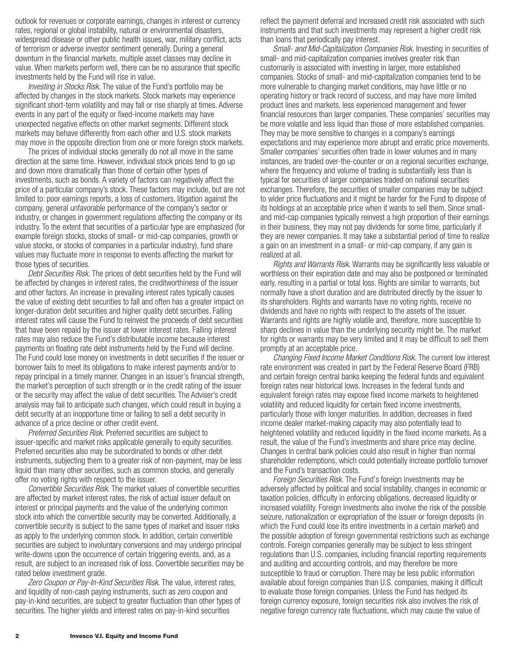outlook for revenues or corporate earnings, changes in interest or currency rates, regional or global instability, natural or environmental disasters, widespread disease or other public health issues, war, military conflict, acts of terrorism or adverse investor sentiment generally. During a general downturn in the financial markets, multiple asset classes may decline in value. When markets perform well, there can be no assurance that specific investments held by the Fund will rise in value.

*Investing in Stocks Risk.* The value of the Fund's portfolio may be affected by changes in the stock markets. Stock markets may experience significant short-term volatility and may fall or rise sharply at times. Adverse events in any part of the equity or fixed-income markets may have unexpected negative effects on other market segments. Different stock markets may behave differently from each other and U.S. stock markets may move in the opposite direction from one or more foreign stock markets.

The prices of individual stocks generally do not all move in the same direction at the same time. However, individual stock prices tend to go up and down more dramatically than those of certain other types of investments, such as bonds. A variety of factors can negatively affect the price of a particular company's stock. These factors may include, but are not limited to: poor earnings reports, a loss of customers, litigation against the company, general unfavorable performance of the company's sector or industry, or changes in government regulations affecting the company or its industry. To the extent that securities of a particular type are emphasized (for example foreign stocks, stocks of small- or mid-cap companies, growth or value stocks, or stocks of companies in a particular industry), fund share values may fluctuate more in response to events affecting the market for those types of securities.

*Debt Securities Risk.* The prices of debt securities held by the Fund will be affected by changes in interest rates, the creditworthiness of the issuer and other factors. An increase in prevailing interest rates typically causes the value of existing debt securities to fall and often has a greater impact on longer-duration debt securities and higher quality debt securities. Falling interest rates will cause the Fund to reinvest the proceeds of debt securities that have been repaid by the issuer at lower interest rates. Falling interest rates may also reduce the Fund's distributable income because interest payments on floating rate debt instruments held by the Fund will decline. The Fund could lose money on investments in debt securities if the issuer or borrower fails to meet its obligations to make interest payments and/or to repay principal in a timely manner. Changes in an issuer's financial strength, the market's perception of such strength or in the credit rating of the issuer or the security may affect the value of debt securities. The Adviser's credit analysis may fail to anticipate such changes, which could result in buying a debt security at an inopportune time or failing to sell a debt security in advance of a price decline or other credit event.

*Preferred Securities Risk.* Preferred securities are subject to issuer-specific and market risks applicable generally to equity securities. Preferred securities also may be subordinated to bonds or other debt instruments, subjecting them to a greater risk of non-payment, may be less liquid than many other securities, such as common stocks, and generally offer no voting rights with respect to the issuer.

*Convertible Securities Risk.* The market values of convertible securities are affected by market interest rates, the risk of actual issuer default on interest or principal payments and the value of the underlying common stock into which the convertible security may be converted. Additionally, a convertible security is subject to the same types of market and issuer risks as apply to the underlying common stock. In addition, certain convertible securities are subject to involuntary conversions and may undergo principal write-downs upon the occurrence of certain triggering events, and, as a result, are subject to an increased risk of loss. Convertible securities may be rated below investment grade.

*Zero Coupon or Pay-In-Kind Securities Risk.* The value, interest rates, and liquidity of non-cash paying instruments, such as zero coupon and pay-in-kind securities, are subject to greater fluctuation than other types of securities. The higher yields and interest rates on pay-in-kind securities

reflect the payment deferral and increased credit risk associated with such instruments and that such investments may represent a higher credit risk than loans that periodically pay interest.

*Small- and Mid-Capitalization Companies Risk.* Investing in securities of small- and mid-capitalization companies involves greater risk than customarily is associated with investing in larger, more established companies. Stocks of small- and mid-capitalization companies tend to be more vulnerable to changing market conditions, may have little or no operating history or track record of success, and may have more limited product lines and markets, less experienced management and fewer financial resources than larger companies. These companies' securities may be more volatile and less liquid than those of more established companies. They may be more sensitive to changes in a company's earnings expectations and may experience more abrupt and erratic price movements. Smaller companies' securities often trade in lower volumes and in many instances, are traded over-the-counter or on a regional securities exchange, where the frequency and volume of trading is substantially less than is typical for securities of larger companies traded on national securities exchanges. Therefore, the securities of smaller companies may be subject to wider price fluctuations and it might be harder for the Fund to dispose of its holdings at an acceptable price when it wants to sell them. Since smalland mid-cap companies typically reinvest a high proportion of their earnings in their business, they may not pay dividends for some time, particularly if they are newer companies. It may take a substantial period of time to realize a gain on an investment in a small- or mid-cap company, if any gain is realized at all.

*Rights and Warrants Risk.* Warrants may be significantly less valuable or worthless on their expiration date and may also be postponed or terminated early, resulting in a partial or total loss. Rights are similar to warrants, but normally have a short duration and are distributed directly by the issuer to its shareholders. Rights and warrants have no voting rights, receive no dividends and have no rights with respect to the assets of the issuer. Warrants and rights are highly volatile and, therefore, more susceptible to sharp declines in value than the underlying security might be. The market for rights or warrants may be very limited and it may be difficult to sell them promptly at an acceptable price.

*Changing Fixed Income Market Conditions Risk.* The current low interest rate environment was created in part by the Federal Reserve Board (FRB) and certain foreign central banks keeping the federal funds and equivalent foreign rates near historical lows. Increases in the federal funds and equivalent foreign rates may expose fixed income markets to heightened volatility and reduced liquidity for certain fixed income investments, particularly those with longer maturities. In addition, decreases in fixed income dealer market-making capacity may also potentially lead to heightened volatility and reduced liquidity in the fixed income markets. As a result, the value of the Fund's investments and share price may decline. Changes in central bank policies could also result in higher than normal shareholder redemptions, which could potentially increase portfolio turnover and the Fund's transaction costs.

*Foreign Securities Risk.* The Fund's foreign investments may be adversely affected by political and social instability, changes in economic or taxation policies, difficulty in enforcing obligations, decreased liquidity or increased volatility. Foreign investments also involve the risk of the possible seizure, nationalization or expropriation of the issuer or foreign deposits (in which the Fund could lose its entire investments in a certain market) and the possible adoption of foreign governmental restrictions such as exchange controls. Foreign companies generally may be subject to less stringent regulations than U.S. companies, including financial reporting requirements and auditing and accounting controls, and may therefore be more susceptible to fraud or corruption. There may be less public information available about foreign companies than U.S. companies, making it difficult to evaluate those foreign companies. Unless the Fund has hedged its foreign currency exposure, foreign securities risk also involves the risk of negative foreign currency rate fluctuations, which may cause the value of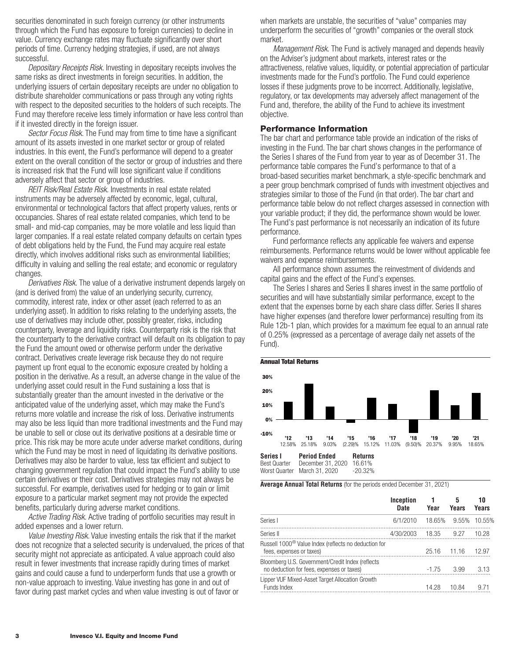securities denominated in such foreign currency (or other instruments through which the Fund has exposure to foreign currencies) to decline in value. Currency exchange rates may fluctuate significantly over short periods of time. Currency hedging strategies, if used, are not always successful.

*Depositary Receipts Risk*. Investing in depositary receipts involves the same risks as direct investments in foreign securities. In addition, the underlying issuers of certain depositary receipts are under no obligation to distribute shareholder communications or pass through any voting rights with respect to the deposited securities to the holders of such receipts. The Fund may therefore receive less timely information or have less control than if it invested directly in the foreign issuer.

*Sector Focus Risk*. The Fund may from time to time have a significant amount of its assets invested in one market sector or group of related industries. In this event, the Fund's performance will depend to a greater extent on the overall condition of the sector or group of industries and there is increased risk that the Fund will lose significant value if conditions adversely affect that sector or group of industries.

*REIT Risk/Real Estate Risk.* Investments in real estate related instruments may be adversely affected by economic, legal, cultural, environmental or technological factors that affect property values, rents or occupancies. Shares of real estate related companies, which tend to be small- and mid-cap companies, may be more volatile and less liquid than larger companies. If a real estate related company defaults on certain types of debt obligations held by the Fund, the Fund may acquire real estate directly, which involves additional risks such as environmental liabilities; difficulty in valuing and selling the real estate; and economic or regulatory changes.

*Derivatives Risk.* The value of a derivative instrument depends largely on (and is derived from) the value of an underlying security, currency, commodity, interest rate, index or other asset (each referred to as an underlying asset). In addition to risks relating to the underlying assets, the use of derivatives may include other, possibly greater, risks, including counterparty, leverage and liquidity risks. Counterparty risk is the risk that the counterparty to the derivative contract will default on its obligation to pay the Fund the amount owed or otherwise perform under the derivative contract. Derivatives create leverage risk because they do not require payment up front equal to the economic exposure created by holding a position in the derivative. As a result, an adverse change in the value of the underlying asset could result in the Fund sustaining a loss that is substantially greater than the amount invested in the derivative or the anticipated value of the underlying asset, which may make the Fund's returns more volatile and increase the risk of loss. Derivative instruments may also be less liquid than more traditional investments and the Fund may be unable to sell or close out its derivative positions at a desirable time or price. This risk may be more acute under adverse market conditions, during which the Fund may be most in need of liquidating its derivative positions. Derivatives may also be harder to value, less tax efficient and subject to changing government regulation that could impact the Fund's ability to use certain derivatives or their cost. Derivatives strategies may not always be successful. For example, derivatives used for hedging or to gain or limit exposure to a particular market segment may not provide the expected benefits, particularly during adverse market conditions.

*Active Trading Risk.* Active trading of portfolio securities may result in added expenses and a lower return.

*Value Investing Risk*. Value investing entails the risk that if the market does not recognize that a selected security is undervalued, the prices of that security might not appreciate as anticipated. A value approach could also result in fewer investments that increase rapidly during times of market gains and could cause a fund to underperform funds that use a growth or non-value approach to investing. Value investing has gone in and out of favor during past market cycles and when value investing is out of favor or

when markets are unstable, the securities of "value" companies may underperform the securities of "growth" companies or the overall stock market.

*Management Risk.* The Fund is actively managed and depends heavily on the Adviser's judgment about markets, interest rates or the attractiveness, relative values, liquidity, or potential appreciation of particular investments made for the Fund's portfolio. The Fund could experience losses if these judgments prove to be incorrect. Additionally, legislative, regulatory, or tax developments may adversely affect management of the Fund and, therefore, the ability of the Fund to achieve its investment objective.

### **Performance Information**

The bar chart and performance table provide an indication of the risks of investing in the Fund. The bar chart shows changes in the performance of the Series I shares of the Fund from year to year as of December 31. The performance table compares the Fund's performance to that of a broad-based securities market benchmark, a style-specific benchmark and a peer group benchmark comprised of funds with investment objectives and strategies similar to those of the Fund (in that order). The bar chart and performance table below do not reflect charges assessed in connection with your variable product; if they did, the performance shown would be lower. The Fund's past performance is not necessarily an indication of its future performance.

Fund performance reflects any applicable fee waivers and expense reimbursements. Performance returns would be lower without applicable fee waivers and expense reimbursements.

All performance shown assumes the reinvestment of dividends and capital gains and the effect of the Fund's expenses.

The Series I shares and Series II shares invest in the same portfolio of securities and will have substantially similar performance, except to the extent that the expenses borne by each share class differ. Series II shares have higher expenses (and therefore lower performance) resulting from its Rule 12b-1 plan, which provides for a maximum fee equal to an annual rate of 0.25% (expressed as a percentage of average daily net assets of the Fund).



**Average Annual Total Returns** (for the periods ended December 31, 2021)

| Inception<br><b>Date</b> | 1<br>Year | 5<br>Years | 10<br>Years             |
|--------------------------|-----------|------------|-------------------------|
| 6/1/2010                 |           |            | 10.55%                  |
| 4/30/2003                | 18.35     | 9.27       | 10.28                   |
|                          | 25.16     |            | 12.97                   |
|                          | $-1.75$   | 3.99       | 3.13                    |
|                          | 14.28     | 10.84      | 9.71                    |
|                          |           |            | 18.65% 9.55%<br>- 11.16 |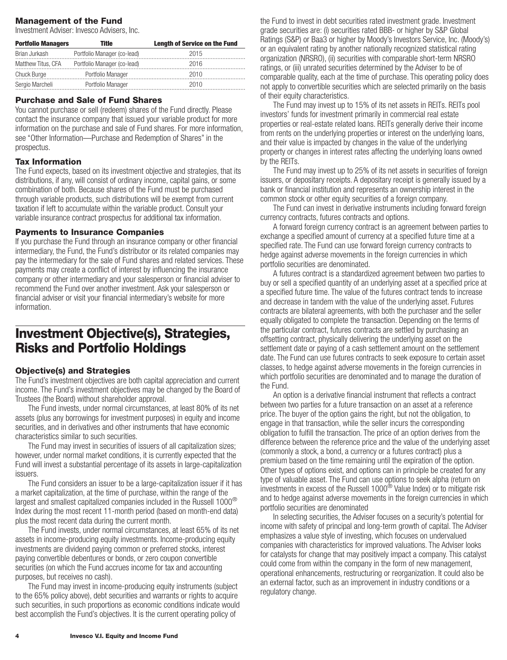### <span id="page-5-0"></span>**Management of the Fund**

Investment Adviser: Invesco Advisers, Inc.

| <b>Portfolio Managers</b> | Title                                          | <b>Length of Service on the Fund</b> |
|---------------------------|------------------------------------------------|--------------------------------------|
| Brian Jurkash             | Portfolio Manager (co-lead)                    | 2015                                 |
|                           | Matthew Titus, CFA Portfolio Manager (co-lead) | 2016                                 |
| Chuck Burge               | Portfolio Manager                              | 2010                                 |
| Sergio Marcheli           | Portfolio Manager                              | 2010                                 |

#### **Purchase and Sale of Fund Shares**

You cannot purchase or sell (redeem) shares of the Fund directly. Please contact the insurance company that issued your variable product for more information on the purchase and sale of Fund shares. For more information, see "Other Information—Purchase and Redemption of Shares" in the prospectus.

### **Tax Information**

The Fund expects, based on its investment objective and strategies, that its distributions, if any, will consist of ordinary income, capital gains, or some combination of both. Because shares of the Fund must be purchased through variable products, such distributions will be exempt from current taxation if left to accumulate within the variable product. Consult your variable insurance contract prospectus for additional tax information.

#### **Payments to Insurance Companies**

If you purchase the Fund through an insurance company or other financial intermediary, the Fund, the Fund's distributor or its related companies may pay the intermediary for the sale of Fund shares and related services. These payments may create a conflict of interest by influencing the insurance company or other intermediary and your salesperson or financial adviser to recommend the Fund over another investment. Ask your salesperson or financial adviser or visit your financial intermediary's website for more information.

### **Investment Objective(s), Strategies, Risks and Portfolio Holdings**

#### **Objective(s) and Strategies**

The Fund's investment objectives are both capital appreciation and current income. The Fund's investment objectives may be changed by the Board of Trustees (the Board) without shareholder approval.

The Fund invests, under normal circumstances, at least 80% of its net assets (plus any borrowings for investment purposes) in equity and income securities, and in derivatives and other instruments that have economic characteristics similar to such securities.

The Fund may invest in securities of issuers of all capitalization sizes; however, under normal market conditions, it is currently expected that the Fund will invest a substantial percentage of its assets in large-capitalization issuers.

The Fund considers an issuer to be a large-capitalization issuer if it has a market capitalization, at the time of purchase, within the range of the largest and smallest capitalized companies included in the Russell 1000 $^{\circledR}$ Index during the most recent 11-month period (based on month-end data) plus the most recent data during the current month.

The Fund invests, under normal circumstances, at least 65% of its net assets in income-producing equity investments. Income-producing equity investments are dividend paying common or preferred stocks, interest paying convertible debentures or bonds, or zero coupon convertible securities (on which the Fund accrues income for tax and accounting purposes, but receives no cash).

The Fund may invest in income-producing equity instruments (subject to the 65% policy above), debt securities and warrants or rights to acquire such securities, in such proportions as economic conditions indicate would best accomplish the Fund's objectives. It is the current operating policy of

the Fund to invest in debt securities rated investment grade. Investment grade securities are: (i) securities rated BBB- or higher by S&P Global Ratings (S&P) or Baa3 or higher by Moody's Investors Service, Inc. (Moody's) or an equivalent rating by another nationally recognized statistical rating organization (NRSRO), (ii) securities with comparable short-term NRSRO ratings, or (iii) unrated securities determined by the Adviser to be of comparable quality, each at the time of purchase. This operating policy does not apply to convertible securities which are selected primarily on the basis of their equity characteristics.

The Fund may invest up to 15% of its net assets in REITs. REITs pool investors' funds for investment primarily in commercial real estate properties or real-estate related loans. REITs generally derive their income from rents on the underlying properties or interest on the underlying loans, and their value is impacted by changes in the value of the underlying property or changes in interest rates affecting the underlying loans owned by the REITs.

The Fund may invest up to 25% of its net assets in securities of foreign issuers, or depositary receipts. A depositary receipt is generally issued by a bank or financial institution and represents an ownership interest in the common stock or other equity securities of a foreign company.

The Fund can invest in derivative instruments including forward foreign currency contracts, futures contracts and options.

A forward foreign currency contract is an agreement between parties to exchange a specified amount of currency at a specified future time at a specified rate. The Fund can use forward foreign currency contracts to hedge against adverse movements in the foreign currencies in which portfolio securities are denominated.

A futures contract is a standardized agreement between two parties to buy or sell a specified quantity of an underlying asset at a specified price at a specified future time. The value of the futures contract tends to increase and decrease in tandem with the value of the underlying asset. Futures contracts are bilateral agreements, with both the purchaser and the seller equally obligated to complete the transaction. Depending on the terms of the particular contract, futures contracts are settled by purchasing an offsetting contract, physically delivering the underlying asset on the settlement date or paying of a cash settlement amount on the settlement date. The Fund can use futures contracts to seek exposure to certain asset classes, to hedge against adverse movements in the foreign currencies in which portfolio securities are denominated and to manage the duration of the Fund.

An option is a derivative financial instrument that reflects a contract between two parties for a future transaction on an asset at a reference price. The buyer of the option gains the right, but not the obligation, to engage in that transaction, while the seller incurs the corresponding obligation to fulfill the transaction. The price of an option derives from the difference between the reference price and the value of the underlying asset (commonly a stock, a bond, a currency or a futures contract) plus a premium based on the time remaining until the expiration of the option. Other types of options exist, and options can in principle be created for any type of valuable asset. The Fund can use options to seek alpha (return on investments in excess of the Russell 1000® Value Index) or to mitigate risk and to hedge against adverse movements in the foreign currencies in which portfolio securities are denominated

In selecting securities, the Adviser focuses on a security's potential for income with safety of principal and long-term growth of capital. The Adviser emphasizes a value style of investing, which focuses on undervalued companies with characteristics for improved valuations. The Adviser looks for catalysts for change that may positively impact a company. This catalyst could come from within the company in the form of new management, operational enhancements, restructuring or reorganization. It could also be an external factor, such as an improvement in industry conditions or a regulatory change.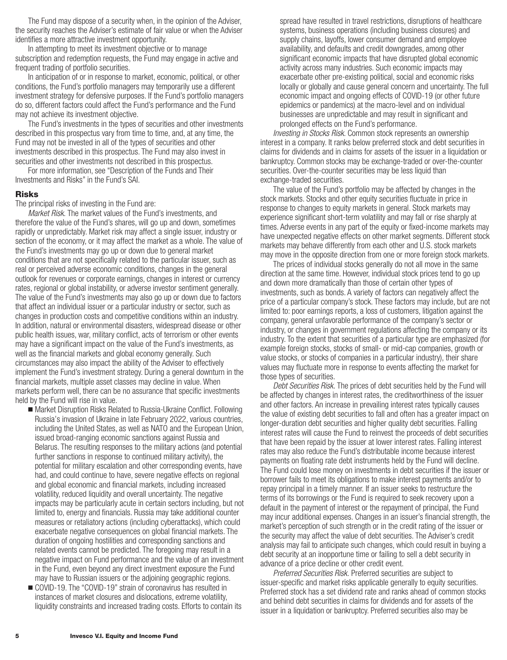The Fund may dispose of a security when, in the opinion of the Adviser, the security reaches the Adviser's estimate of fair value or when the Adviser identifies a more attractive investment opportunity.

In attempting to meet its investment objective or to manage subscription and redemption requests, the Fund may engage in active and frequent trading of portfolio securities.

In anticipation of or in response to market, economic, political, or other conditions, the Fund's portfolio managers may temporarily use a different investment strategy for defensive purposes. If the Fund's portfolio managers do so, different factors could affect the Fund's performance and the Fund may not achieve its investment objective.

The Fund's investments in the types of securities and other investments described in this prospectus vary from time to time, and, at any time, the Fund may not be invested in all of the types of securities and other investments described in this prospectus. The Fund may also invest in securities and other investments not described in this prospectus.

For more information, see "Description of the Funds and Their Investments and Risks" in the Fund's SAI.

#### **Risks**

The principal risks of investing in the Fund are:

*Market Risk.* The market values of the Fund's investments, and therefore the value of the Fund's shares, will go up and down, sometimes rapidly or unpredictably. Market risk may affect a single issuer, industry or section of the economy, or it may affect the market as a whole. The value of the Fund's investments may go up or down due to general market conditions that are not specifically related to the particular issuer, such as real or perceived adverse economic conditions, changes in the general outlook for revenues or corporate earnings, changes in interest or currency rates, regional or global instability, or adverse investor sentiment generally. The value of the Fund's investments may also go up or down due to factors that affect an individual issuer or a particular industry or sector, such as changes in production costs and competitive conditions within an industry. In addition, natural or environmental disasters, widespread disease or other public health issues, war, military conflict, acts of terrorism or other events may have a significant impact on the value of the Fund's investments, as well as the financial markets and global economy generally. Such circumstances may also impact the ability of the Adviser to effectively implement the Fund's investment strategy. During a general downturn in the financial markets, multiple asset classes may decline in value. When markets perform well, there can be no assurance that specific investments held by the Fund will rise in value.

- Market Disruption Risks Related to Russia-Ukraine Conflict. Following Russia's invasion of Ukraine in late February 2022, various countries, including the United States, as well as NATO and the European Union, issued broad-ranging economic sanctions against Russia and Belarus. The resulting responses to the military actions (and potential further sanctions in response to continued military activity), the potential for military escalation and other corresponding events, have had, and could continue to have, severe negative effects on regional and global economic and financial markets, including increased volatility, reduced liquidity and overall uncertainty. The negative impacts may be particularly acute in certain sectors including, but not limited to, energy and financials. Russia may take additional counter measures or retaliatory actions (including cyberattacks), which could exacerbate negative consequences on global financial markets. The duration of ongoing hostilities and corresponding sanctions and related events cannot be predicted. The foregoing may result in a negative impact on Fund performance and the value of an investment in the Fund, even beyond any direct investment exposure the Fund may have to Russian issuers or the adjoining geographic regions.
- COVID-19. The "COVID-19" strain of coronavirus has resulted in instances of market closures and dislocations, extreme volatility, liquidity constraints and increased trading costs. Efforts to contain its

spread have resulted in travel restrictions, disruptions of healthcare systems, business operations (including business closures) and supply chains, layoffs, lower consumer demand and employee availability, and defaults and credit downgrades, among other significant economic impacts that have disrupted global economic activity across many industries. Such economic impacts may exacerbate other pre-existing political, social and economic risks locally or globally and cause general concern and uncertainty. The full economic impact and ongoing effects of COVID-19 (or other future epidemics or pandemics) at the macro-level and on individual businesses are unpredictable and may result in significant and prolonged effects on the Fund's performance.

*Investing in Stocks Risk*. Common stock represents an ownership interest in a company. It ranks below preferred stock and debt securities in claims for dividends and in claims for assets of the issuer in a liquidation or bankruptcy. Common stocks may be exchange-traded or over-the-counter securities. Over-the-counter securities may be less liquid than exchange-traded securities.

The value of the Fund's portfolio may be affected by changes in the stock markets. Stocks and other equity securities fluctuate in price in response to changes to equity markets in general. Stock markets may experience significant short-term volatility and may fall or rise sharply at times. Adverse events in any part of the equity or fixed-income markets may have unexpected negative effects on other market segments. Different stock markets may behave differently from each other and U.S. stock markets may move in the opposite direction from one or more foreign stock markets.

The prices of individual stocks generally do not all move in the same direction at the same time. However, individual stock prices tend to go up and down more dramatically than those of certain other types of investments, such as bonds. A variety of factors can negatively affect the price of a particular company's stock. These factors may include, but are not limited to: poor earnings reports, a loss of customers, litigation against the company, general unfavorable performance of the company's sector or industry, or changes in government regulations affecting the company or its industry. To the extent that securities of a particular type are emphasized (for example foreign stocks, stocks of small- or mid-cap companies, growth or value stocks, or stocks of companies in a particular industry), their share values may fluctuate more in response to events affecting the market for those types of securities.

*Debt Securities Risk.* The prices of debt securities held by the Fund will be affected by changes in interest rates, the creditworthiness of the issuer and other factors. An increase in prevailing interest rates typically causes the value of existing debt securities to fall and often has a greater impact on longer-duration debt securities and higher quality debt securities. Falling interest rates will cause the Fund to reinvest the proceeds of debt securities that have been repaid by the issuer at lower interest rates. Falling interest rates may also reduce the Fund's distributable income because interest payments on floating rate debt instruments held by the Fund will decline. The Fund could lose money on investments in debt securities if the issuer or borrower fails to meet its obligations to make interest payments and/or to repay principal in a timely manner. If an issuer seeks to restructure the terms of its borrowings or the Fund is required to seek recovery upon a default in the payment of interest or the repayment of principal, the Fund may incur additional expenses. Changes in an issuer's financial strength, the market's perception of such strength or in the credit rating of the issuer or the security may affect the value of debt securities. The Adviser's credit analysis may fail to anticipate such changes, which could result in buying a debt security at an inopportune time or failing to sell a debt security in advance of a price decline or other credit event.

*Preferred Securities Risk.* Preferred securities are subject to issuer-specific and market risks applicable generally to equity securities. Preferred stock has a set dividend rate and ranks ahead of common stocks and behind debt securities in claims for dividends and for assets of the issuer in a liquidation or bankruptcy. Preferred securities also may be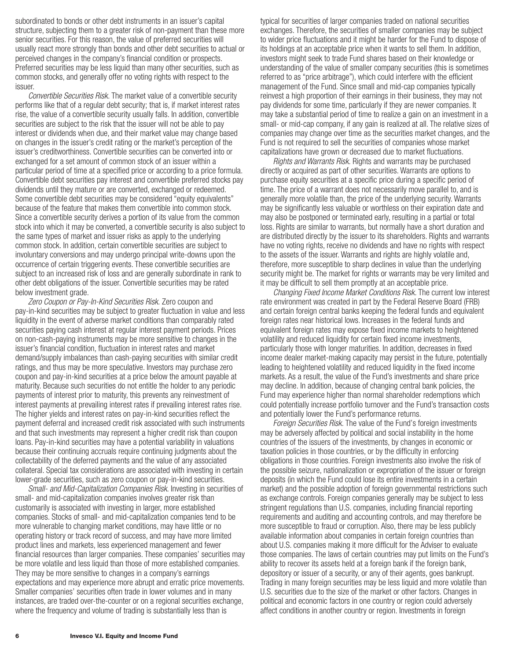subordinated to bonds or other debt instruments in an issuer's capital structure, subjecting them to a greater risk of non-payment than these more senior securities. For this reason, the value of preferred securities will usually react more strongly than bonds and other debt securities to actual or perceived changes in the company's financial condition or prospects. Preferred securities may be less liquid than many other securities, such as common stocks, and generally offer no voting rights with respect to the issuer.

*Convertible Securities Risk.* The market value of a convertible security performs like that of a regular debt security; that is, if market interest rates rise, the value of a convertible security usually falls. In addition, convertible securities are subject to the risk that the issuer will not be able to pay interest or dividends when due, and their market value may change based on changes in the issuer's credit rating or the market's perception of the issuer's creditworthiness. Convertible securities can be converted into or exchanged for a set amount of common stock of an issuer within a particular period of time at a specified price or according to a price formula. Convertible debt securities pay interest and convertible preferred stocks pay dividends until they mature or are converted, exchanged or redeemed. Some convertible debt securities may be considered "equity equivalents" because of the feature that makes them convertible into common stock. Since a convertible security derives a portion of its value from the common stock into which it may be converted, a convertible security is also subject to the same types of market and issuer risks as apply to the underlying common stock. In addition, certain convertible securities are subject to involuntary conversions and may undergo principal write-downs upon the occurrence of certain triggering events. These convertible securities are subject to an increased risk of loss and are generally subordinate in rank to other debt obligations of the issuer. Convertible securities may be rated below investment grade.

*Zero Coupon or Pay-In-Kind Securities Risk.* Zero coupon and pay-in-kind securities may be subject to greater fluctuation in value and less liquidity in the event of adverse market conditions than comparably rated securities paying cash interest at regular interest payment periods. Prices on non-cash-paying instruments may be more sensitive to changes in the issuer's financial condition, fluctuation in interest rates and market demand/supply imbalances than cash-paying securities with similar credit ratings, and thus may be more speculative. Investors may purchase zero coupon and pay-in-kind securities at a price below the amount payable at maturity. Because such securities do not entitle the holder to any periodic payments of interest prior to maturity, this prevents any reinvestment of interest payments at prevailing interest rates if prevailing interest rates rise. The higher yields and interest rates on pay-in-kind securities reflect the payment deferral and increased credit risk associated with such instruments and that such investments may represent a higher credit risk than coupon loans. Pay-in-kind securities may have a potential variability in valuations because their continuing accruals require continuing judgments about the collectability of the deferred payments and the value of any associated collateral. Special tax considerations are associated with investing in certain lower-grade securities, such as zero coupon or pay-in-kind securities.

*Small- and Mid-Capitalization Companies Risk*. Investing in securities of small- and mid-capitalization companies involves greater risk than customarily is associated with investing in larger, more established companies. Stocks of small- and mid-capitalization companies tend to be more vulnerable to changing market conditions, may have little or no operating history or track record of success, and may have more limited product lines and markets, less experienced management and fewer financial resources than larger companies. These companies' securities may be more volatile and less liquid than those of more established companies. They may be more sensitive to changes in a company's earnings expectations and may experience more abrupt and erratic price movements. Smaller companies' securities often trade in lower volumes and in many instances, are traded over-the-counter or on a regional securities exchange, where the frequency and volume of trading is substantially less than is

typical for securities of larger companies traded on national securities exchanges. Therefore, the securities of smaller companies may be subject to wider price fluctuations and it might be harder for the Fund to dispose of its holdings at an acceptable price when it wants to sell them. In addition, investors might seek to trade Fund shares based on their knowledge or understanding of the value of smaller company securities (this is sometimes referred to as "price arbitrage"), which could interfere with the efficient management of the Fund. Since small and mid-cap companies typically reinvest a high proportion of their earnings in their business, they may not pay dividends for some time, particularly if they are newer companies. It may take a substantial period of time to realize a gain on an investment in a small- or mid-cap company, if any gain is realized at all. The relative sizes of companies may change over time as the securities market changes, and the Fund is not required to sell the securities of companies whose market capitalizations have grown or decreased due to market fluctuations.

*Rights and Warrants Risk.* Rights and warrants may be purchased directly or acquired as part of other securities. Warrants are options to purchase equity securities at a specific price during a specific period of time. The price of a warrant does not necessarily move parallel to, and is generally more volatile than, the price of the underlying security. Warrants may be significantly less valuable or worthless on their expiration date and may also be postponed or terminated early, resulting in a partial or total loss. Rights are similar to warrants, but normally have a short duration and are distributed directly by the issuer to its shareholders. Rights and warrants have no voting rights, receive no dividends and have no rights with respect to the assets of the issuer. Warrants and rights are highly volatile and, therefore, more susceptible to sharp declines in value than the underlying security might be. The market for rights or warrants may be very limited and it may be difficult to sell them promptly at an acceptable price.

*Changing Fixed Income Market Conditions Risk.* The current low interest rate environment was created in part by the Federal Reserve Board (FRB) and certain foreign central banks keeping the federal funds and equivalent foreign rates near historical lows. Increases in the federal funds and equivalent foreign rates may expose fixed income markets to heightened volatility and reduced liquidity for certain fixed income investments, particularly those with longer maturities. In addition, decreases in fixed income dealer market-making capacity may persist in the future, potentially leading to heightened volatility and reduced liquidity in the fixed income markets. As a result, the value of the Fund's investments and share price may decline. In addition, because of changing central bank policies, the Fund may experience higher than normal shareholder redemptions which could potentially increase portfolio turnover and the Fund's transaction costs and potentially lower the Fund's performance returns.

*Foreign Securities Risk.* The value of the Fund's foreign investments may be adversely affected by political and social instability in the home countries of the issuers of the investments, by changes in economic or taxation policies in those countries, or by the difficulty in enforcing obligations in those countries. Foreign investments also involve the risk of the possible seizure, nationalization or expropriation of the issuer or foreign deposits (in which the Fund could lose its entire investments in a certain market) and the possible adoption of foreign governmental restrictions such as exchange controls. Foreign companies generally may be subject to less stringent regulations than U.S. companies, including financial reporting requirements and auditing and accounting controls, and may therefore be more susceptible to fraud or corruption. Also, there may be less publicly available information about companies in certain foreign countries than about U.S. companies making it more difficult for the Adviser to evaluate those companies. The laws of certain countries may put limits on the Fund's ability to recover its assets held at a foreign bank if the foreign bank, depository or issuer of a security, or any of their agents, goes bankrupt. Trading in many foreign securities may be less liquid and more volatile than U.S. securities due to the size of the market or other factors. Changes in political and economic factors in one country or region could adversely affect conditions in another country or region. Investments in foreign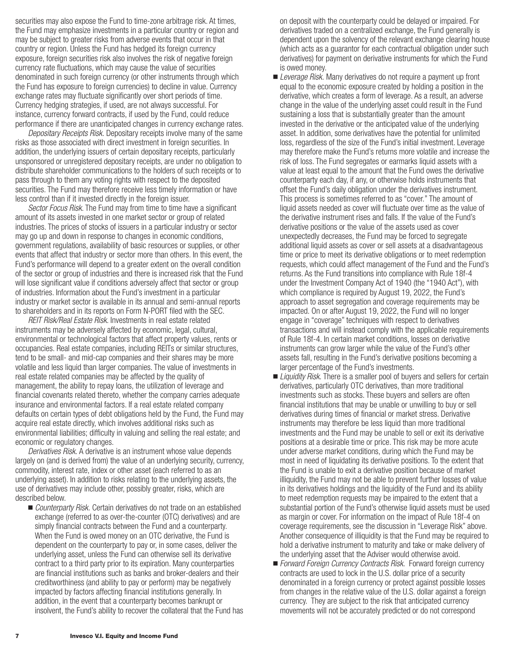securities may also expose the Fund to time-zone arbitrage risk. At times, the Fund may emphasize investments in a particular country or region and may be subject to greater risks from adverse events that occur in that country or region. Unless the Fund has hedged its foreign currency exposure, foreign securities risk also involves the risk of negative foreign currency rate fluctuations, which may cause the value of securities denominated in such foreign currency (or other instruments through which the Fund has exposure to foreign currencies) to decline in value. Currency exchange rates may fluctuate significantly over short periods of time. Currency hedging strategies, if used, are not always successful. For instance, currency forward contracts, if used by the Fund, could reduce performance if there are unanticipated changes in currency exchange rates.

*Depositary Receipts Risk.* Depositary receipts involve many of the same risks as those associated with direct investment in foreign securities. In addition, the underlying issuers of certain depositary receipts, particularly unsponsored or unregistered depositary receipts, are under no obligation to distribute shareholder communications to the holders of such receipts or to pass through to them any voting rights with respect to the deposited securities. The Fund may therefore receive less timely information or have less control than if it invested directly in the foreign issuer.

*Sector Focus Risk*. The Fund may from time to time have a significant amount of its assets invested in one market sector or group of related industries. The prices of stocks of issuers in a particular industry or sector may go up and down in response to changes in economic conditions, government regulations, availability of basic resources or supplies, or other events that affect that industry or sector more than others. In this event, the Fund's performance will depend to a greater extent on the overall condition of the sector or group of industries and there is increased risk that the Fund will lose significant value if conditions adversely affect that sector or group of industries. Information about the Fund's investment in a particular industry or market sector is available in its annual and semi-annual reports to shareholders and in its reports on Form N-PORT filed with the SEC.

*REIT Risk/Real Estate Risk.* Investments in real estate related instruments may be adversely affected by economic, legal, cultural, environmental or technological factors that affect property values, rents or occupancies. Real estate companies, including REITs or similar structures, tend to be small- and mid-cap companies and their shares may be more volatile and less liquid than larger companies. The value of investments in real estate related companies may be affected by the quality of management, the ability to repay loans, the utilization of leverage and financial covenants related thereto, whether the company carries adequate insurance and environmental factors. If a real estate related company defaults on certain types of debt obligations held by the Fund, the Fund may acquire real estate directly, which involves additional risks such as environmental liabilities; difficulty in valuing and selling the real estate; and economic or regulatory changes.

*Derivatives Risk.* A derivative is an instrument whose value depends largely on (and is derived from) the value of an underlying security, currency, commodity, interest rate, index or other asset (each referred to as an underlying asset). In addition to risks relating to the underlying assets, the use of derivatives may include other, possibly greater, risks, which are described below.

■ *Counterparty Risk.* Certain derivatives do not trade on an established exchange (referred to as over-the-counter (OTC) derivatives) and are simply financial contracts between the Fund and a counterparty. When the Fund is owed money on an OTC derivative, the Fund is dependent on the counterparty to pay or, in some cases, deliver the underlying asset, unless the Fund can otherwise sell its derivative contract to a third party prior to its expiration. Many counterparties are financial institutions such as banks and broker-dealers and their creditworthiness (and ability to pay or perform) may be negatively impacted by factors affecting financial institutions generally. In addition, in the event that a counterparty becomes bankrupt or insolvent, the Fund's ability to recover the collateral that the Fund has on deposit with the counterparty could be delayed or impaired. For derivatives traded on a centralized exchange, the Fund generally is dependent upon the solvency of the relevant exchange clearing house (which acts as a guarantor for each contractual obligation under such derivatives) for payment on derivative instruments for which the Fund is owed money.

- *Leverage Risk.* Many derivatives do not require a payment up front equal to the economic exposure created by holding a position in the derivative, which creates a form of leverage. As a result, an adverse change in the value of the underlying asset could result in the Fund sustaining a loss that is substantially greater than the amount invested in the derivative or the anticipated value of the underlying asset. In addition, some derivatives have the potential for unlimited loss, regardless of the size of the Fund's initial investment. Leverage may therefore make the Fund's returns more volatile and increase the risk of loss. The Fund segregates or earmarks liquid assets with a value at least equal to the amount that the Fund owes the derivative counterparty each day, if any, or otherwise holds instruments that offset the Fund's daily obligation under the derivatives instrument. This process is sometimes referred to as "cover." The amount of liquid assets needed as cover will fluctuate over time as the value of the derivative instrument rises and falls. If the value of the Fund's derivative positions or the value of the assets used as cover unexpectedly decreases, the Fund may be forced to segregate additional liquid assets as cover or sell assets at a disadvantageous time or price to meet its derivative obligations or to meet redemption requests, which could affect management of the Fund and the Fund's returns. As the Fund transitions into compliance with Rule 18f-4 under the Investment Company Act of 1940 (the "1940 Act"), with which compliance is required by August 19, 2022, the Fund's approach to asset segregation and coverage requirements may be impacted. On or after August 19, 2022, the Fund will no longer engage in "coverage" techniques with respect to derivatives transactions and will instead comply with the applicable requirements of Rule 18f-4. In certain market conditions, losses on derivative instruments can grow larger while the value of the Fund's other assets fall, resulting in the Fund's derivative positions becoming a larger percentage of the Fund's investments.
- *Liquidity Risk.* There is a smaller pool of buyers and sellers for certain derivatives, particularly OTC derivatives, than more traditional investments such as stocks. These buyers and sellers are often financial institutions that may be unable or unwilling to buy or sell derivatives during times of financial or market stress. Derivative instruments may therefore be less liquid than more traditional investments and the Fund may be unable to sell or exit its derivative positions at a desirable time or price. This risk may be more acute under adverse market conditions, during which the Fund may be most in need of liquidating its derivative positions. To the extent that the Fund is unable to exit a derivative position because of market illiquidity, the Fund may not be able to prevent further losses of value in its derivatives holdings and the liquidity of the Fund and its ability to meet redemption requests may be impaired to the extent that a substantial portion of the Fund's otherwise liquid assets must be used as margin or cover. For information on the impact of Rule 18f-4 on coverage requirements, see the discussion in "Leverage Risk" above. Another consequence of illiquidity is that the Fund may be required to hold a derivative instrument to maturity and take or make delivery of the underlying asset that the Adviser would otherwise avoid.
- *Forward Foreign Currency Contracts Risk*. Forward foreign currency contracts are used to lock in the U.S. dollar price of a security denominated in a foreign currency or protect against possible losses from changes in the relative value of the U.S. dollar against a foreign currency. They are subject to the risk that anticipated currency movements will not be accurately predicted or do not correspond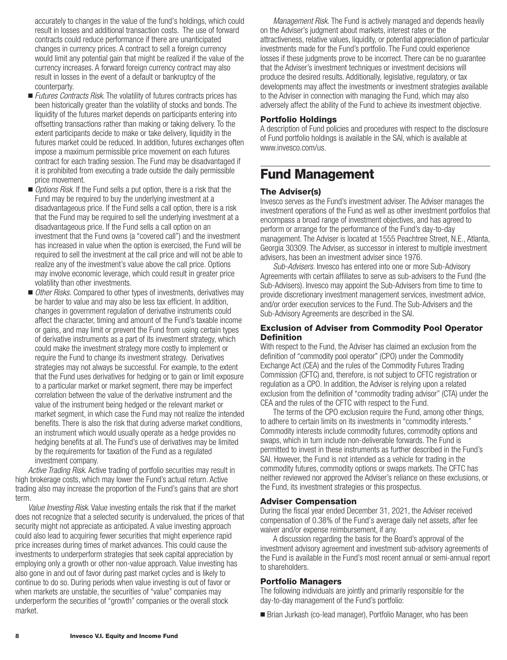<span id="page-9-0"></span>accurately to changes in the value of the fund's holdings, which could result in losses and additional transaction costs. The use of forward contracts could reduce performance if there are unanticipated changes in currency prices. A contract to sell a foreign currency would limit any potential gain that might be realized if the value of the currency increases. A forward foreign currency contract may also result in losses in the event of a default or bankruptcy of the counterparty.

- *Futures Contracts Risk*. The volatility of futures contracts prices has been historically greater than the volatility of stocks and bonds. The liquidity of the futures market depends on participants entering into offsetting transactions rather than making or taking delivery. To the extent participants decide to make or take delivery, liquidity in the futures market could be reduced. In addition, futures exchanges often impose a maximum permissible price movement on each futures contract for each trading session. The Fund may be disadvantaged if it is prohibited from executing a trade outside the daily permissible price movement.
- *Options Risk*. If the Fund sells a put option, there is a risk that the Fund may be required to buy the underlying investment at a disadvantageous price. If the Fund sells a call option, there is a risk that the Fund may be required to sell the underlying investment at a disadvantageous price. If the Fund sells a call option on an investment that the Fund owns (a "covered call") and the investment has increased in value when the option is exercised, the Fund will be required to sell the investment at the call price and will not be able to realize any of the investment's value above the call price. Options may involve economic leverage, which could result in greater price volatility than other investments.
- Other Risks. Compared to other types of investments, derivatives may be harder to value and may also be less tax efficient. In addition, changes in government regulation of derivative instruments could affect the character, timing and amount of the Fund's taxable income or gains, and may limit or prevent the Fund from using certain types of derivative instruments as a part of its investment strategy, which could make the investment strategy more costly to implement or require the Fund to change its investment strategy. Derivatives strategies may not always be successful. For example, to the extent that the Fund uses derivatives for hedging or to gain or limit exposure to a particular market or market segment, there may be imperfect correlation between the value of the derivative instrument and the value of the instrument being hedged or the relevant market or market segment, in which case the Fund may not realize the intended benefits. There is also the risk that during adverse market conditions, an instrument which would usually operate as a hedge provides no hedging benefits at all. The Fund's use of derivatives may be limited by the requirements for taxation of the Fund as a regulated investment company.

*Active Trading Risk.* Active trading of portfolio securities may result in high brokerage costs, which may lower the Fund's actual return. Active trading also may increase the proportion of the Fund's gains that are short term.

*Value Investing Risk*. Value investing entails the risk that if the market does not recognize that a selected security is undervalued, the prices of that security might not appreciate as anticipated. A value investing approach could also lead to acquiring fewer securities that might experience rapid price increases during times of market advances. This could cause the investments to underperform strategies that seek capital appreciation by employing only a growth or other non-value approach. Value investing has also gone in and out of favor during past market cycles and is likely to continue to do so. During periods when value investing is out of favor or when markets are unstable, the securities of "value" companies may underperform the securities of "growth" companies or the overall stock market.

*Management Risk.* The Fund is actively managed and depends heavily on the Adviser's judgment about markets, interest rates or the attractiveness, relative values, liquidity, or potential appreciation of particular investments made for the Fund's portfolio. The Fund could experience losses if these judgments prove to be incorrect. There can be no guarantee that the Adviser's investment techniques or investment decisions will produce the desired results. Additionally, legislative, regulatory, or tax developments may affect the investments or investment strategies available to the Adviser in connection with managing the Fund, which may also adversely affect the ability of the Fund to achieve its investment objective.

### **Portfolio Holdings**

A description of Fund policies and procedures with respect to the disclosure of Fund portfolio holdings is available in the SAI, which is available at www.invesco.com/us.

## **Fund Management**

### **The Adviser(s)**

Invesco serves as the Fund's investment adviser. The Adviser manages the investment operations of the Fund as well as other investment portfolios that encompass a broad range of investment objectives, and has agreed to perform or arrange for the performance of the Fund's day-to-day management. The Adviser is located at 1555 Peachtree Street, N.E., Atlanta, Georgia 30309. The Adviser, as successor in interest to multiple investment advisers, has been an investment adviser since 1976.

*Sub-Advisers*. Invesco has entered into one or more Sub-Advisory Agreements with certain affiliates to serve as sub-advisers to the Fund (the Sub-Advisers). Invesco may appoint the Sub-Advisers from time to time to provide discretionary investment management services, investment advice, and/or order execution services to the Fund. The Sub-Advisers and the Sub-Advisory Agreements are described in the SAI.

### **Exclusion of Adviser from Commodity Pool Operator Definition**

With respect to the Fund, the Adviser has claimed an exclusion from the definition of "commodity pool operator" (CPO) under the Commodity Exchange Act (CEA) and the rules of the Commodity Futures Trading Commission (CFTC) and, therefore, is not subject to CFTC registration or regulation as a CPO. In addition, the Adviser is relying upon a related exclusion from the definition of "commodity trading advisor" (CTA) under the CEA and the rules of the CFTC with respect to the Fund.

The terms of the CPO exclusion require the Fund, among other things, to adhere to certain limits on its investments in "commodity interests." Commodity interests include commodity futures, commodity options and swaps, which in turn include non-deliverable forwards. The Fund is permitted to invest in these instruments as further described in the Fund's SAI. However, the Fund is not intended as a vehicle for trading in the commodity futures, commodity options or swaps markets. The CFTC has neither reviewed nor approved the Adviser's reliance on these exclusions, or the Fund, its investment strategies or this prospectus.

### **Adviser Compensation**

During the fiscal year ended December 31, 2021, the Adviser received compensation of 0.38% of the Fund's average daily net assets, after fee waiver and/or expense reimbursement, if any.

A discussion regarding the basis for the Board's approval of the investment advisory agreement and investment sub-advisory agreements of the Fund is available in the Fund's most recent annual or semi-annual report to shareholders.

### **Portfolio Managers**

The following individuals are jointly and primarily responsible for the day-to-day management of the Fund's portfolio:

■ Brian Jurkash (co-lead manager), Portfolio Manager, who has been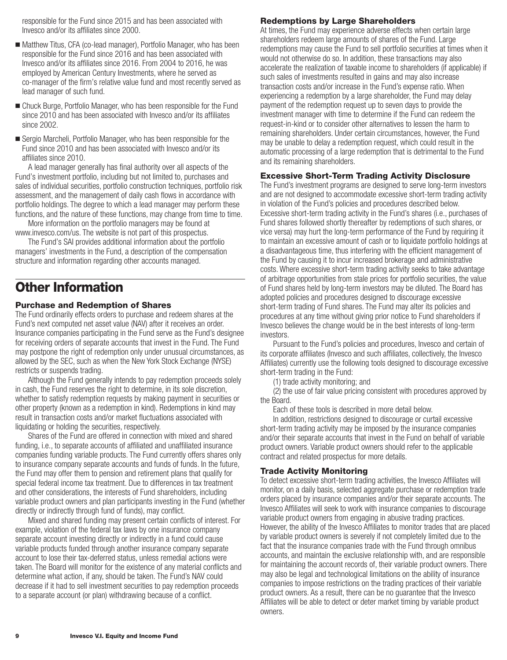<span id="page-10-0"></span>responsible for the Fund since 2015 and has been associated with Invesco and/or its affiliates since 2000.

- Matthew Titus, CFA (co-lead manager), Portfolio Manager, who has been responsible for the Fund since 2016 and has been associated with Invesco and/or its affiliates since 2016. From 2004 to 2016, he was employed by American Century Investments, where he served as co-manager of the firm's relative value fund and most recently served as lead manager of such fund.
- Chuck Burge, Portfolio Manager, who has been responsible for the Fund since 2010 and has been associated with Invesco and/or its affiliates since 2002.
- Sergio Marcheli, Portfolio Manager, who has been responsible for the Fund since 2010 and has been associated with Invesco and/or its affiliates since 2010.

A lead manager generally has final authority over all aspects of the Fund's investment portfolio, including but not limited to, purchases and sales of individual securities, portfolio construction techniques, portfolio risk assessment, and the management of daily cash flows in accordance with portfolio holdings. The degree to which a lead manager may perform these functions, and the nature of these functions, may change from time to time.

More information on the portfolio managers may be found at www.invesco.com/us. The website is not part of this prospectus.

The Fund's SAI provides additional information about the portfolio managers' investments in the Fund, a description of the compensation structure and information regarding other accounts managed.

# **Other Information**

### **Purchase and Redemption of Shares**

The Fund ordinarily effects orders to purchase and redeem shares at the Fund's next computed net asset value (NAV) after it receives an order. Insurance companies participating in the Fund serve as the Fund's designee for receiving orders of separate accounts that invest in the Fund. The Fund may postpone the right of redemption only under unusual circumstances, as allowed by the SEC, such as when the New York Stock Exchange (NYSE) restricts or suspends trading.

Although the Fund generally intends to pay redemption proceeds solely in cash, the Fund reserves the right to determine, in its sole discretion, whether to satisfy redemption requests by making payment in securities or other property (known as a redemption in kind). Redemptions in kind may result in transaction costs and/or market fluctuations associated with liquidating or holding the securities, respectively.

Shares of the Fund are offered in connection with mixed and shared funding, i.e., to separate accounts of affiliated and unaffiliated insurance companies funding variable products. The Fund currently offers shares only to insurance company separate accounts and funds of funds. In the future, the Fund may offer them to pension and retirement plans that qualify for special federal income tax treatment. Due to differences in tax treatment and other considerations, the interests of Fund shareholders, including variable product owners and plan participants investing in the Fund (whether directly or indirectly through fund of funds), may conflict.

Mixed and shared funding may present certain conflicts of interest. For example, violation of the federal tax laws by one insurance company separate account investing directly or indirectly in a fund could cause variable products funded through another insurance company separate account to lose their tax-deferred status, unless remedial actions were taken. The Board will monitor for the existence of any material conflicts and determine what action, if any, should be taken. The Fund's NAV could decrease if it had to sell investment securities to pay redemption proceeds to a separate account (or plan) withdrawing because of a conflict.

### **Redemptions by Large Shareholders**

At times, the Fund may experience adverse effects when certain large shareholders redeem large amounts of shares of the Fund. Large redemptions may cause the Fund to sell portfolio securities at times when it would not otherwise do so. In addition, these transactions may also accelerate the realization of taxable income to shareholders (if applicable) if such sales of investments resulted in gains and may also increase transaction costs and/or increase in the Fund's expense ratio. When experiencing a redemption by a large shareholder, the Fund may delay payment of the redemption request up to seven days to provide the investment manager with time to determine if the Fund can redeem the request-in-kind or to consider other alternatives to lessen the harm to remaining shareholders. Under certain circumstances, however, the Fund may be unable to delay a redemption request, which could result in the automatic processing of a large redemption that is detrimental to the Fund and its remaining shareholders.

### **Excessive Short-Term Trading Activity Disclosure**

The Fund's investment programs are designed to serve long-term investors and are not designed to accommodate excessive short-term trading activity in violation of the Fund's policies and procedures described below. Excessive short-term trading activity in the Fund's shares (i.e., purchases of Fund shares followed shortly thereafter by redemptions of such shares, or vice versa) may hurt the long-term performance of the Fund by requiring it to maintain an excessive amount of cash or to liquidate portfolio holdings at a disadvantageous time, thus interfering with the efficient management of the Fund by causing it to incur increased brokerage and administrative costs. Where excessive short-term trading activity seeks to take advantage of arbitrage opportunities from stale prices for portfolio securities, the value of Fund shares held by long-term investors may be diluted. The Board has adopted policies and procedures designed to discourage excessive short-term trading of Fund shares. The Fund may alter its policies and procedures at any time without giving prior notice to Fund shareholders if Invesco believes the change would be in the best interests of long-term investors.

Pursuant to the Fund's policies and procedures, Invesco and certain of its corporate affiliates (Invesco and such affiliates, collectively, the Invesco Affiliates) currently use the following tools designed to discourage excessive short-term trading in the Fund:

(1) trade activity monitoring; and

(2) the use of fair value pricing consistent with procedures approved by the Board.

Each of these tools is described in more detail below.

In addition, restrictions designed to discourage or curtail excessive short-term trading activity may be imposed by the insurance companies and/or their separate accounts that invest in the Fund on behalf of variable product owners. Variable product owners should refer to the applicable contract and related prospectus for more details.

### **Trade Activity Monitoring**

To detect excessive short-term trading activities, the Invesco Affiliates will monitor, on a daily basis, selected aggregate purchase or redemption trade orders placed by insurance companies and/or their separate accounts. The Invesco Affiliates will seek to work with insurance companies to discourage variable product owners from engaging in abusive trading practices. However, the ability of the Invesco Affiliates to monitor trades that are placed by variable product owners is severely if not completely limited due to the fact that the insurance companies trade with the Fund through omnibus accounts, and maintain the exclusive relationship with, and are responsible for maintaining the account records of, their variable product owners. There may also be legal and technological limitations on the ability of insurance companies to impose restrictions on the trading practices of their variable product owners. As a result, there can be no guarantee that the Invesco Affiliates will be able to detect or deter market timing by variable product owners.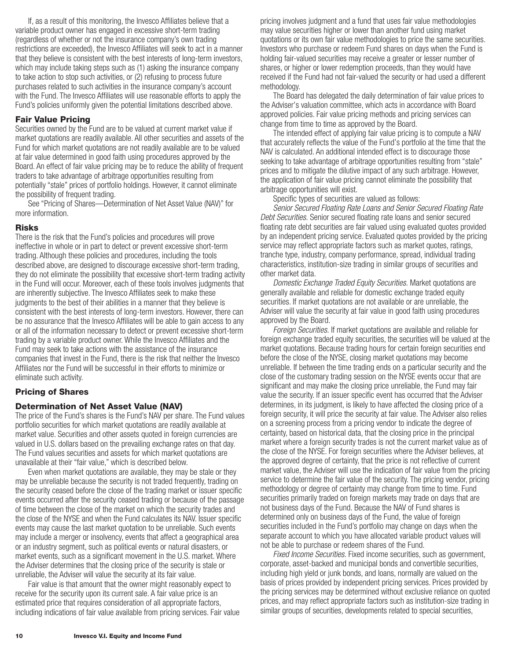<span id="page-11-0"></span>If, as a result of this monitoring, the Invesco Affiliates believe that a variable product owner has engaged in excessive short-term trading (regardless of whether or not the insurance company's own trading restrictions are exceeded), the Invesco Affiliates will seek to act in a manner that they believe is consistent with the best interests of long-term investors, which may include taking steps such as (1) asking the insurance company to take action to stop such activities, or (2) refusing to process future purchases related to such activities in the insurance company's account with the Fund. The Invesco Affiliates will use reasonable efforts to apply the Fund's policies uniformly given the potential limitations described above.

### **Fair Value Pricing**

Securities owned by the Fund are to be valued at current market value if market quotations are readily available. All other securities and assets of the Fund for which market quotations are not readily available are to be valued at fair value determined in good faith using procedures approved by the Board. An effect of fair value pricing may be to reduce the ability of frequent traders to take advantage of arbitrage opportunities resulting from potentially "stale" prices of portfolio holdings. However, it cannot eliminate the possibility of frequent trading.

See "Pricing of Shares—Determination of Net Asset Value (NAV)" for more information.

### **Risks**

There is the risk that the Fund's policies and procedures will prove ineffective in whole or in part to detect or prevent excessive short-term trading. Although these policies and procedures, including the tools described above, are designed to discourage excessive short-term trading, they do not eliminate the possibility that excessive short-term trading activity in the Fund will occur. Moreover, each of these tools involves judgments that are inherently subjective. The Invesco Affiliates seek to make these judgments to the best of their abilities in a manner that they believe is consistent with the best interests of long-term investors. However, there can be no assurance that the Invesco Affiliates will be able to gain access to any or all of the information necessary to detect or prevent excessive short-term trading by a variable product owner. While the Invesco Affiliates and the Fund may seek to take actions with the assistance of the insurance companies that invest in the Fund, there is the risk that neither the Invesco Affiliates nor the Fund will be successful in their efforts to minimize or eliminate such activity.

### **Pricing of Shares**

### **Determination of Net Asset Value (NAV)**

The price of the Fund's shares is the Fund's NAV per share. The Fund values portfolio securities for which market quotations are readily available at market value. Securities and other assets quoted in foreign currencies are valued in U.S. dollars based on the prevailing exchange rates on that day. The Fund values securities and assets for which market quotations are unavailable at their "fair value," which is described below.

Even when market quotations are available, they may be stale or they may be unreliable because the security is not traded frequently, trading on the security ceased before the close of the trading market or issuer specific events occurred after the security ceased trading or because of the passage of time between the close of the market on which the security trades and the close of the NYSE and when the Fund calculates its NAV. Issuer specific events may cause the last market quotation to be unreliable. Such events may include a merger or insolvency, events that affect a geographical area or an industry segment, such as political events or natural disasters, or market events, such as a significant movement in the U.S. market. Where the Adviser determines that the closing price of the security is stale or unreliable, the Adviser will value the security at its fair value.

Fair value is that amount that the owner might reasonably expect to receive for the security upon its current sale. A fair value price is an estimated price that requires consideration of all appropriate factors, including indications of fair value available from pricing services. Fair value pricing involves judgment and a fund that uses fair value methodologies may value securities higher or lower than another fund using market quotations or its own fair value methodologies to price the same securities. Investors who purchase or redeem Fund shares on days when the Fund is holding fair-valued securities may receive a greater or lesser number of shares, or higher or lower redemption proceeds, than they would have received if the Fund had not fair-valued the security or had used a different methodology.

The Board has delegated the daily determination of fair value prices to the Adviser's valuation committee, which acts in accordance with Board approved policies. Fair value pricing methods and pricing services can change from time to time as approved by the Board.

The intended effect of applying fair value pricing is to compute a NAV that accurately reflects the value of the Fund's portfolio at the time that the NAV is calculated. An additional intended effect is to discourage those seeking to take advantage of arbitrage opportunities resulting from "stale" prices and to mitigate the dilutive impact of any such arbitrage. However, the application of fair value pricing cannot eliminate the possibility that arbitrage opportunities will exist.

Specific types of securities are valued as follows:

*Senior Secured Floating Rate Loans and Senior Secured Floating Rate Debt Securities.* Senior secured floating rate loans and senior secured floating rate debt securities are fair valued using evaluated quotes provided by an independent pricing service. Evaluated quotes provided by the pricing service may reflect appropriate factors such as market quotes, ratings, tranche type, industry, company performance, spread, individual trading characteristics, institution-size trading in similar groups of securities and other market data.

*Domestic Exchange Traded Equity Securities.* Market quotations are generally available and reliable for domestic exchange traded equity securities. If market quotations are not available or are unreliable, the Adviser will value the security at fair value in good faith using procedures approved by the Board.

*Foreign Securities.* If market quotations are available and reliable for foreign exchange traded equity securities, the securities will be valued at the market quotations. Because trading hours for certain foreign securities end before the close of the NYSE, closing market quotations may become unreliable. If between the time trading ends on a particular security and the close of the customary trading session on the NYSE events occur that are significant and may make the closing price unreliable, the Fund may fair value the security. If an issuer specific event has occurred that the Adviser determines, in its judgment, is likely to have affected the closing price of a foreign security, it will price the security at fair value. The Adviser also relies on a screening process from a pricing vendor to indicate the degree of certainty, based on historical data, that the closing price in the principal market where a foreign security trades is not the current market value as of the close of the NYSE. For foreign securities where the Adviser believes, at the approved degree of certainty, that the price is not reflective of current market value, the Adviser will use the indication of fair value from the pricing service to determine the fair value of the security. The pricing vendor, pricing methodology or degree of certainty may change from time to time. Fund securities primarily traded on foreign markets may trade on days that are not business days of the Fund. Because the NAV of Fund shares is determined only on business days of the Fund, the value of foreign securities included in the Fund's portfolio may change on days when the separate account to which you have allocated variable product values will not be able to purchase or redeem shares of the Fund.

*Fixed Income Securities.* Fixed income securities, such as government, corporate, asset-backed and municipal bonds and convertible securities, including high yield or junk bonds, and loans, normally are valued on the basis of prices provided by independent pricing services. Prices provided by the pricing services may be determined without exclusive reliance on quoted prices, and may reflect appropriate factors such as institution-size trading in similar groups of securities, developments related to special securities,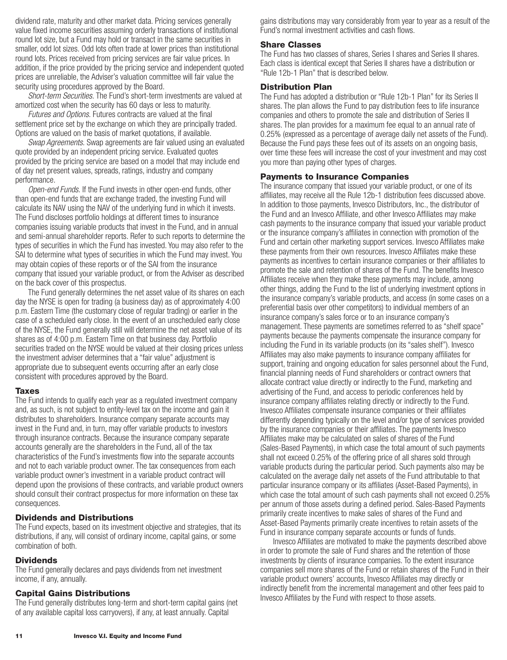<span id="page-12-0"></span>dividend rate, maturity and other market data. Pricing services generally value fixed income securities assuming orderly transactions of institutional round lot size, but a Fund may hold or transact in the same securities in smaller, odd lot sizes. Odd lots often trade at lower prices than institutional round lots. Prices received from pricing services are fair value prices. In addition, if the price provided by the pricing service and independent quoted prices are unreliable, the Adviser's valuation committee will fair value the security using procedures approved by the Board.

*Short-term Securities.* The Fund's short-term investments are valued at amortized cost when the security has 60 days or less to maturity.

*Futures and Options.* Futures contracts are valued at the final settlement price set by the exchange on which they are principally traded. Options are valued on the basis of market quotations, if available.

*Swap Agreements.* Swap agreements are fair valued using an evaluated quote provided by an independent pricing service. Evaluated quotes provided by the pricing service are based on a model that may include end of day net present values, spreads, ratings, industry and company performance.

*Open-end Funds.* If the Fund invests in other open-end funds, other than open-end funds that are exchange traded, the investing Fund will calculate its NAV using the NAV of the underlying fund in which it invests. The Fund discloses portfolio holdings at different times to insurance companies issuing variable products that invest in the Fund, and in annual and semi-annual shareholder reports. Refer to such reports to determine the types of securities in which the Fund has invested. You may also refer to the SAI to determine what types of securities in which the Fund may invest. You may obtain copies of these reports or of the SAI from the insurance company that issued your variable product, or from the Adviser as described on the back cover of this prospectus.

The Fund generally determines the net asset value of its shares on each day the NYSE is open for trading (a business day) as of approximately 4:00 p.m. Eastern Time (the customary close of regular trading) or earlier in the case of a scheduled early close. In the event of an unscheduled early close of the NYSE, the Fund generally still will determine the net asset value of its shares as of 4:00 p.m. Eastern Time on that business day. Portfolio securities traded on the NYSE would be valued at their closing prices unless the investment adviser determines that a "fair value" adjustment is appropriate due to subsequent events occurring after an early close consistent with procedures approved by the Board.

### **Taxes**

The Fund intends to qualify each year as a regulated investment company and, as such, is not subject to entity-level tax on the income and gain it distributes to shareholders. Insurance company separate accounts may invest in the Fund and, in turn, may offer variable products to investors through insurance contracts. Because the insurance company separate accounts generally are the shareholders in the Fund, all of the tax characteristics of the Fund's investments flow into the separate accounts and not to each variable product owner. The tax consequences from each variable product owner's investment in a variable product contract will depend upon the provisions of these contracts, and variable product owners should consult their contract prospectus for more information on these tax consequences.

### **Dividends and Distributions**

The Fund expects, based on its investment objective and strategies, that its distributions, if any, will consist of ordinary income, capital gains, or some combination of both.

### **Dividends**

The Fund generally declares and pays dividends from net investment income, if any, annually.

### **Capital Gains Distributions**

The Fund generally distributes long-term and short-term capital gains (net of any available capital loss carryovers), if any, at least annually. Capital

gains distributions may vary considerably from year to year as a result of the Fund's normal investment activities and cash flows.

### **Share Classes**

The Fund has two classes of shares, Series I shares and Series II shares. Each class is identical except that Series II shares have a distribution or "Rule 12b-1 Plan" that is described below.

### **Distribution Plan**

The Fund has adopted a distribution or "Rule 12b-1 Plan" for its Series II shares. The plan allows the Fund to pay distribution fees to life insurance companies and others to promote the sale and distribution of Series II shares. The plan provides for a maximum fee equal to an annual rate of 0.25% (expressed as a percentage of average daily net assets of the Fund). Because the Fund pays these fees out of its assets on an ongoing basis, over time these fees will increase the cost of your investment and may cost you more than paying other types of charges.

### **Payments to Insurance Companies**

The insurance company that issued your variable product, or one of its affiliates, may receive all the Rule 12b-1 distribution fees discussed above. In addition to those payments, Invesco Distributors, Inc., the distributor of the Fund and an Invesco Affiliate, and other Invesco Affiliates may make cash payments to the insurance company that issued your variable product or the insurance company's affiliates in connection with promotion of the Fund and certain other marketing support services. Invesco Affiliates make these payments from their own resources. Invesco Affiliates make these payments as incentives to certain insurance companies or their affiliates to promote the sale and retention of shares of the Fund. The benefits Invesco Affiliates receive when they make these payments may include, among other things, adding the Fund to the list of underlying investment options in the insurance company's variable products, and access (in some cases on a preferential basis over other competitors) to individual members of an insurance company's sales force or to an insurance company's management. These payments are sometimes referred to as "shelf space" payments because the payments compensate the insurance company for including the Fund in its variable products (on its "sales shelf"). Invesco Affiliates may also make payments to insurance company affiliates for support, training and ongoing education for sales personnel about the Fund, financial planning needs of Fund shareholders or contract owners that allocate contract value directly or indirectly to the Fund, marketing and advertising of the Fund, and access to periodic conferences held by insurance company affiliates relating directly or indirectly to the Fund. Invesco Affiliates compensate insurance companies or their affiliates differently depending typically on the level and/or type of services provided by the insurance companies or their affiliates. The payments Invesco Affiliates make may be calculated on sales of shares of the Fund (Sales-Based Payments), in which case the total amount of such payments shall not exceed 0.25% of the offering price of all shares sold through variable products during the particular period. Such payments also may be calculated on the average daily net assets of the Fund attributable to that particular insurance company or its affiliates (Asset-Based Payments), in which case the total amount of such cash payments shall not exceed 0.25% per annum of those assets during a defined period. Sales-Based Payments primarily create incentives to make sales of shares of the Fund and Asset-Based Payments primarily create incentives to retain assets of the Fund in insurance company separate accounts or funds of funds.

Invesco Affiliates are motivated to make the payments described above in order to promote the sale of Fund shares and the retention of those investments by clients of insurance companies. To the extent insurance companies sell more shares of the Fund or retain shares of the Fund in their variable product owners' accounts, Invesco Affiliates may directly or indirectly benefit from the incremental management and other fees paid to Invesco Affiliates by the Fund with respect to those assets.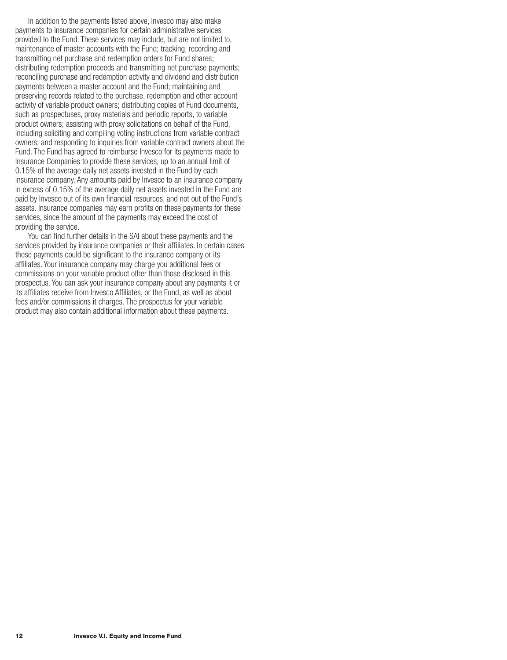In addition to the payments listed above, Invesco may also make payments to insurance companies for certain administrative services provided to the Fund. These services may include, but are not limited to, maintenance of master accounts with the Fund; tracking, recording and transmitting net purchase and redemption orders for Fund shares; distributing redemption proceeds and transmitting net purchase payments; reconciling purchase and redemption activity and dividend and distribution payments between a master account and the Fund; maintaining and preserving records related to the purchase, redemption and other account activity of variable product owners; distributing copies of Fund documents, such as prospectuses, proxy materials and periodic reports, to variable product owners; assisting with proxy solicitations on behalf of the Fund, including soliciting and compiling voting instructions from variable contract owners; and responding to inquiries from variable contract owners about the Fund. The Fund has agreed to reimburse Invesco for its payments made to Insurance Companies to provide these services, up to an annual limit of 0.15% of the average daily net assets invested in the Fund by each insurance company. Any amounts paid by Invesco to an insurance company in excess of 0.15% of the average daily net assets invested in the Fund are paid by Invesco out of its own financial resources, and not out of the Fund's assets. Insurance companies may earn profits on these payments for these services, since the amount of the payments may exceed the cost of providing the service.

You can find further details in the SAI about these payments and the services provided by insurance companies or their affiliates. In certain cases these payments could be significant to the insurance company or its affiliates. Your insurance company may charge you additional fees or commissions on your variable product other than those disclosed in this prospectus. You can ask your insurance company about any payments it or its affiliates receive from Invesco Affiliates, or the Fund, as well as about fees and/or commissions it charges. The prospectus for your variable product may also contain additional information about these payments.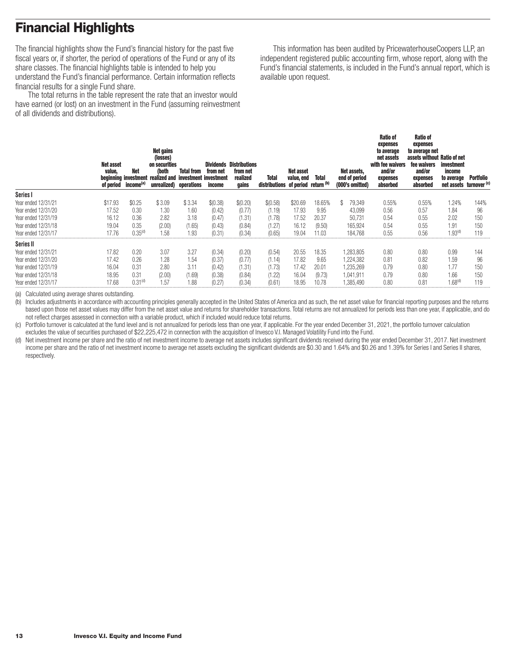# <span id="page-14-0"></span>**Financial Highlights**

The financial highlights show the Fund's financial history for the past five fiscal years or, if shorter, the period of operations of the Fund or any of its share classes. The financial highlights table is intended to help you understand the Fund's financial performance. Certain information reflects financial results for a single Fund share.

The total returns in the table represent the rate that an investor would have earned (or lost) on an investment in the Fund (assuming reinvestment of all dividends and distributions).

This information has been audited by PricewaterhouseCoopers LLP, an independent registered public accounting firm, whose report, along with the Fund's financial statements, is included in the Fund's annual report, which is available upon request.

|                     | <b>Net asset</b><br>value,<br>of period | Net<br>income <sup>(a)</sup> | Net gains<br>(losses)<br>on securities<br>(both<br>beginning investment realized and investment investment<br>unrealized) operations | <b>Total from</b> | from net<br>income | <b>Dividends Distributions</b><br>from net<br>realized<br>gains | Total<br>distributions of period return (b) | Net asset<br>value, end | <b>Total</b> | Net assets,<br>end of period<br>(000's omitted) | <b>Ratio of</b><br>expenses<br>to average<br>net assets<br>with fee waivers<br>and/or<br>expenses<br>absorbed | <b>Ratio of</b><br>expenses<br>to average net<br>assets without Ratio of net<br>fee waivers<br>and/or<br>expenses<br>absorbed | investment<br>income<br>to average | <b>Portfolio</b><br>net assets turnover (c) |
|---------------------|-----------------------------------------|------------------------------|--------------------------------------------------------------------------------------------------------------------------------------|-------------------|--------------------|-----------------------------------------------------------------|---------------------------------------------|-------------------------|--------------|-------------------------------------------------|---------------------------------------------------------------------------------------------------------------|-------------------------------------------------------------------------------------------------------------------------------|------------------------------------|---------------------------------------------|
| Series I            |                                         |                              |                                                                                                                                      |                   |                    |                                                                 |                                             |                         |              |                                                 |                                                                                                               |                                                                                                                               |                                    |                                             |
| Year ended 12/31/21 | \$17.93                                 | \$0.25                       | \$3.09                                                                                                                               | \$3.34            | \$(0.38)           | \$(0.20)                                                        | \$(0.58)                                    | \$20.69                 | 18.65%       | \$<br>79,349                                    | 0.55%                                                                                                         | 0.55%                                                                                                                         | .24%                               | 144%                                        |
| Year ended 12/31/20 | 17.52                                   | 0.30                         | 1.30                                                                                                                                 | 1.60              | (0.42)             | (0.77)                                                          | (1.19)                                      | 17.93                   | 9.95         | 43,099                                          | 0.56                                                                                                          | 0.57                                                                                                                          | 1.84                               | 96                                          |
| Year ended 12/31/19 | 16.12                                   | 0.36                         | 2.82                                                                                                                                 | 3.18              | (0.47)             | (1.31)                                                          | (1.78)                                      | 17.52                   | 20.37        | 50,731                                          | 0.54                                                                                                          | 0.55                                                                                                                          | 2.02                               | 150                                         |
| Year ended 12/31/18 | 19.04                                   | 0.35                         | (2.00)                                                                                                                               | (1.65)            | (0.43)             | (0.84)                                                          | (1.27)                                      | 16.12                   | (9.50)       | 165,924                                         | 0.54                                                                                                          | 0.55                                                                                                                          | 1.91                               | 150                                         |
| Year ended 12/31/17 | 17.76                                   | 0.35 <sup>(d)</sup>          | 1.58                                                                                                                                 | 1.93              | (0.31)             | (0.34)                                                          | (0.65)                                      | 19.04                   | 11.03        | 184.768                                         | 0.55                                                                                                          | 0.56                                                                                                                          | 1.93 <sup>(d)</sup>                | 119                                         |
| <b>Series II</b>    |                                         |                              |                                                                                                                                      |                   |                    |                                                                 |                                             |                         |              |                                                 |                                                                                                               |                                                                                                                               |                                    |                                             |
| Year ended 12/31/21 | 17.82                                   | 0.20                         | 3.07                                                                                                                                 | 3.27              | (0.34)             | (0.20)                                                          | (0.54)                                      | 20.55                   | 18.35        | 1,283,805                                       | 0.80                                                                                                          | 0.80                                                                                                                          | 0.99                               | 144                                         |
| Year ended 12/31/20 | 17.42                                   | 0.26                         | 1.28                                                                                                                                 | 1.54              | (0.37)             | (0.77)                                                          | (1.14)                                      | 17.82                   | 9.65         | 1,224,382                                       | 0.81                                                                                                          | 0.82                                                                                                                          | 1.59                               | 96                                          |
| Year ended 12/31/19 | 16.04                                   | 0.31                         | 2.80                                                                                                                                 | 3.11              | (0.42)             | (1.31)                                                          | (1.73)                                      | 17.42                   | 20.01        | 1.235.269                                       | 0.79                                                                                                          | 0.80                                                                                                                          | 1.77                               | 150                                         |
| Year ended 12/31/18 | 18.95                                   | 0.31                         | (2.00)                                                                                                                               | (1.69)            | (0.38)             | (0.84)                                                          | (1.22)                                      | 16.04                   | (9.73)       | 1,041,911                                       | 0.79                                                                                                          | 0.80                                                                                                                          | 1.66                               | 150                                         |
| Year ended 12/31/17 | 17.68                                   | 0.31 <sup>(d)</sup>          | 1.57                                                                                                                                 | 1.88              | (0.27)             | (0.34)                                                          | (0.61)                                      | 18.95                   | 10.78        | 1.385.490                                       | 0.80                                                                                                          | 0.81                                                                                                                          | $1.68^{\text{\tiny{(d)}}}$         | 119                                         |

(a) Calculated using average shares outstanding.

(b) Includes adjustments in accordance with accounting principles generally accepted in the United States of America and as such, the net asset value for financial reporting purposes and the returns based upon those net asset values may differ from the net asset value and returns for shareholder transactions. Total returns are not annualized for periods less than one year, if applicable, and do not reflect charges assessed in connection with a variable product, which if included would reduce total returns.

(c) Portfolio turnover is calculated at the fund level and is not annualized for periods less than one year, if applicable. For the year ended December 31, 2021, the portfolio turnover calculation excludes the value of securities purchased of \$22,225,472 in connection with the acquisition of Invesco V.I. Managed Volatility Fund into the Fund.

(d) Net investment income per share and the ratio of net investment income to average net assets includes significant dividends received during the year ended December 31, 2017. Net investment income per share and the ratio of net investment income to average net assets excluding the significant dividends are \$0.30 and 1.64% and \$0.26 and 1.39% for Series I and Series II shares, respectively.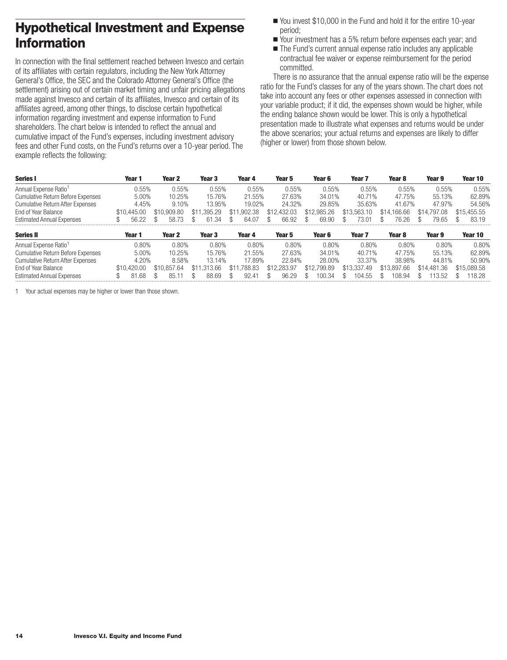# <span id="page-15-0"></span>**Hypothetical Investment and Expense Information**

In connection with the final settlement reached between Invesco and certain of its affiliates with certain regulators, including the New York Attorney General's Office, the SEC and the Colorado Attorney General's Office (the settlement) arising out of certain market timing and unfair pricing allegations made against Invesco and certain of its affiliates, Invesco and certain of its affiliates agreed, among other things, to disclose certain hypothetical information regarding investment and expense information to Fund shareholders. The chart below is intended to reflect the annual and cumulative impact of the Fund's expenses, including investment advisory fees and other Fund costs, on the Fund's returns over a 10-year period. The example reflects the following:

- You invest \$10,000 in the Fund and hold it for the entire 10-year period;
- Your investment has a 5% return before expenses each year; and
- The Fund's current annual expense ratio includes any applicable contractual fee waiver or expense reimbursement for the period committed.

There is no assurance that the annual expense ratio will be the expense ratio for the Fund's classes for any of the years shown. The chart does not take into account any fees or other expenses assessed in connection with your variable product; if it did, the expenses shown would be higher, while the ending balance shown would be lower. This is only a hypothetical presentation made to illustrate what expenses and returns would be under the above scenarios; your actual returns and expenses are likely to differ (higher or lower) from those shown below.

| <b>Series I</b>                          | Year 1      | Year 2      | Year 3      | Year 4           | Year 5      | Year 6      | Year <sub>7</sub> | Year <sub>8</sub> | Year 9      | Year 10     |
|------------------------------------------|-------------|-------------|-------------|------------------|-------------|-------------|-------------------|-------------------|-------------|-------------|
| Annual Expense Ratio <sup>1</sup>        | 0.55%       | 0.55%       | 0.55%       | 0.55%            | 0.55%       | 0.55%       | 0.55%             | 0.55%             | 0.55%       | 0.55%       |
| <b>Cumulative Return Before Expenses</b> | 5.00%       | 10.25%      | 15.76%      | 21.55%           | 27.63%      | 34.01%      | 40.71%            | 47.75%            | 55.13%      | 62.89%      |
| <b>Cumulative Return After Expenses</b>  | 4.45%       | 9.10%       | 13.95%      | 19.02%           | 24.32%      | 29.85%      | 35.63%            | 41.67%            | 47.97%      | 54.56%      |
| End of Year Balance                      | \$10,445.00 | \$10,909.80 | \$11,395.29 | 1.902.38<br>\$11 | \$12,432.03 | \$12,985.26 | \$13,563.10       | \$14,166,66       | \$14,797.08 | \$15,455.55 |
| <b>Estimated Annual Expenses</b>         | 56.22       | 73<br>58.   | 61.34       | 64.07            | 66.92       | 69.90       | 73.01             | 76.26             | 79.65       | 83.19       |
| <b>Series II</b>                         | Year 1      | Year 2      | Year 3      | Year 4           | Year 5      | Year 6      | Year <sub>7</sub> | Year 8            | Year 9      | Year 10     |
| Annual Expense Ratio <sup>1</sup>        | 0.80%       | 0.80%       | 0.80%       | 0.80%            | 0.80%       | 0.80%       | 0.80%             | 0.80%             | 0.80%       | 0.80%       |
| <b>Cumulative Return Before Expenses</b> | 5.00%       | 10.25%      | 15.76%      | 21.55%           | 27.63%      | 34.01%      | 40.71%            | 47.75%            | 55.13%      | 62.89%      |
| <b>Cumulative Return After Expenses</b>  | 4.20%       | 8.58%       | 13.14%      | 17.89%           | 22.84%      | 28.00%      | 33.37%            | 38.98%            | 44.81%      | 50.90%      |
| End of Year Balance                      | \$10,420.00 | \$10.857.64 | \$11,313,66 | \$11<br>.788.83  | \$12,283.97 | \$12,799.89 | \$13,337.49       | \$13,897.66       | \$14,481,36 | \$15,089.58 |
| <b>Estimated Annual Expenses</b>         | .68<br>8.   | 85.1        | 88.69       | 92.41            | 96.29       | 100.34      | 104.55            | 108.94            | 13.52       | 118.28      |

1 Your actual expenses may be higher or lower than those shown.